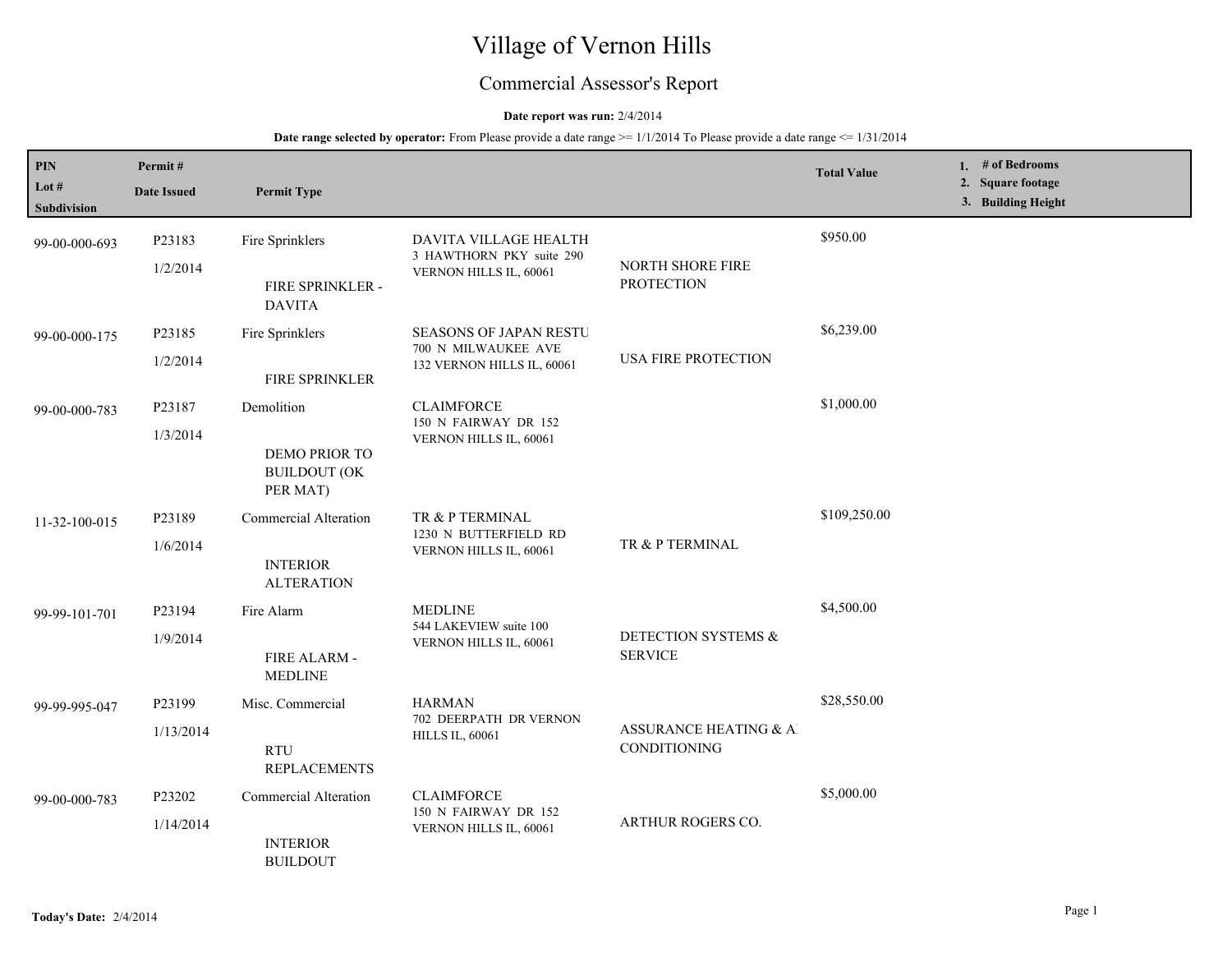# Village of Vernon Hills

# Commercial Assessor's Report

## **Date report was run:** 2/4/2014

## **Date range selected by operator:** From Please provide a date range  $\ge$ = 1/1/2014 To Please provide a date range  $\le$  1/31/2014

| PIN<br>Lot $#$<br>Subdivision | Permit#<br><b>Date Issued</b> | <b>Permit Type</b>                                                   |                                                                                    |                                        | <b>Total Value</b> | 1. $#$ of Bedrooms<br>2. Square footage<br>3. Building Height |
|-------------------------------|-------------------------------|----------------------------------------------------------------------|------------------------------------------------------------------------------------|----------------------------------------|--------------------|---------------------------------------------------------------|
| 99-00-000-693                 | P23183<br>1/2/2014            | Fire Sprinklers<br>FIRE SPRINKLER -<br><b>DAVITA</b>                 | DAVITA VILLAGE HEALTH<br>3 HAWTHORN PKY suite 290<br>VERNON HILLS IL, 60061        | NORTH SHORE FIRE<br><b>PROTECTION</b>  | \$950.00           |                                                               |
| 99-00-000-175                 | P23185<br>1/2/2014            | Fire Sprinklers<br>FIRE SPRINKLER                                    | <b>SEASONS OF JAPAN RESTU</b><br>700 N MILWAUKEE AVE<br>132 VERNON HILLS IL, 60061 | <b>USA FIRE PROTECTION</b>             | \$6,239.00         |                                                               |
| 99-00-000-783                 | P23187<br>1/3/2014            | Demolition<br>DEMO PRIOR TO<br><b>BUILDOUT (OK</b><br>PER MAT)       | <b>CLAIMFORCE</b><br>150 N FAIRWAY DR 152<br>VERNON HILLS IL, 60061                |                                        | \$1,000.00         |                                                               |
| 11-32-100-015                 | P23189<br>1/6/2014            | <b>Commercial Alteration</b><br><b>INTERIOR</b><br><b>ALTERATION</b> | TR & P TERMINAL<br>1230 N BUTTERFIELD RD<br>VERNON HILLS IL, 60061                 | TR & P TERMINAL                        | \$109,250.00       |                                                               |
| 99-99-101-701                 | P23194<br>1/9/2014            | Fire Alarm<br>FIRE ALARM -<br><b>MEDLINE</b>                         | <b>MEDLINE</b><br>544 LAKEVIEW suite 100<br>VERNON HILLS IL, 60061                 | DETECTION SYSTEMS &<br><b>SERVICE</b>  | \$4,500.00         |                                                               |
| 99-99-995-047                 | P23199<br>1/13/2014           | Misc. Commercial<br><b>RTU</b><br><b>REPLACEMENTS</b>                | <b>HARMAN</b><br>702 DEERPATH DR VERNON<br><b>HILLS IL, 60061</b>                  | ASSURANCE HEATING & AI<br>CONDITIONING | \$28,550.00        |                                                               |
| 99-00-000-783                 | P23202<br>1/14/2014           | <b>Commercial Alteration</b><br><b>INTERIOR</b><br><b>BUILDOUT</b>   | <b>CLAIMFORCE</b><br>150 N FAIRWAY DR 152<br>VERNON HILLS IL, 60061                | ARTHUR ROGERS CO.                      | \$5,000.00         |                                                               |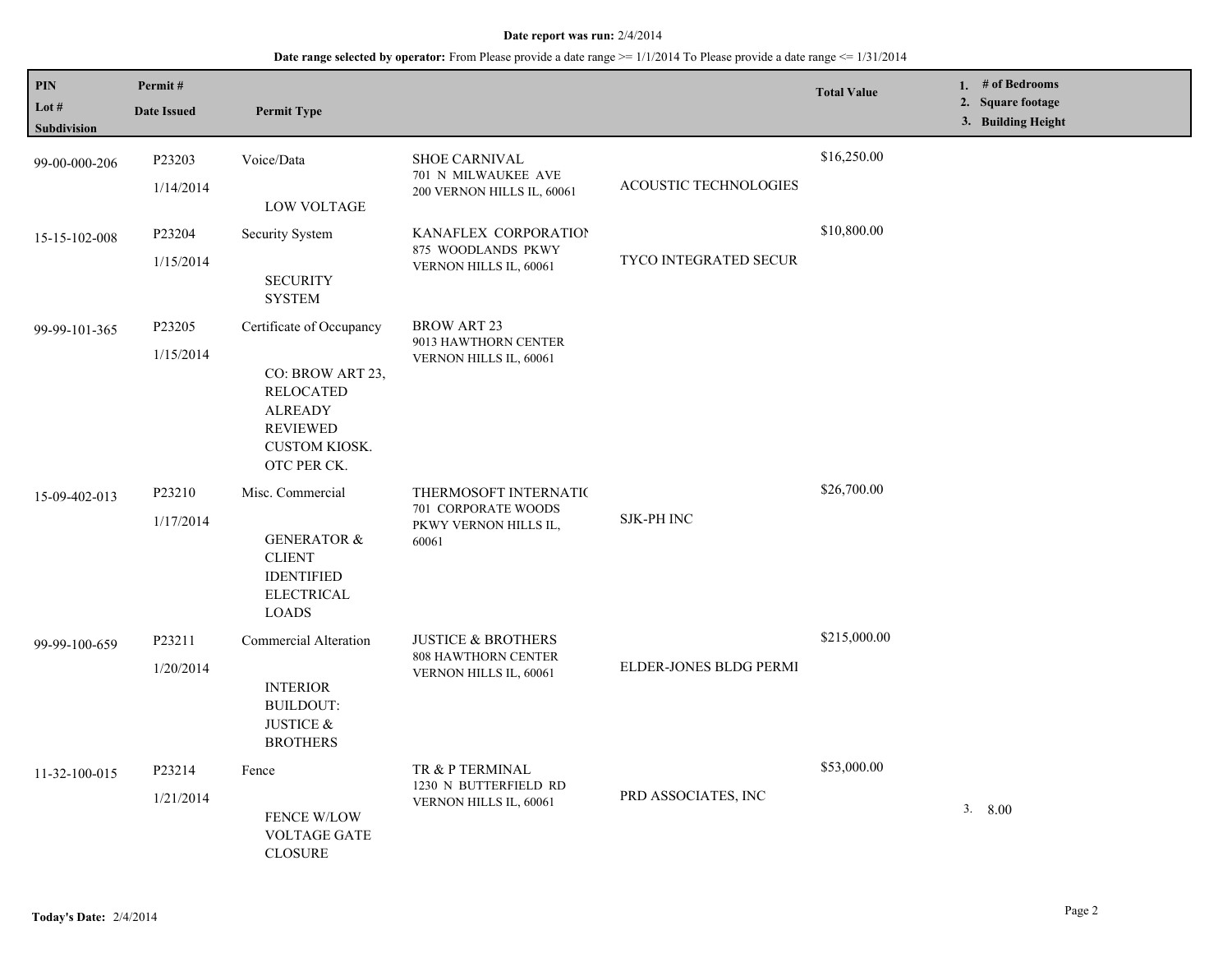#### **Date report was run:** 2/4/2014

# **Date range selected by operator:** From Please provide a date range >= 1/1/2014 To Please provide a date range <= 1/31/2014

| <b>PIN</b><br>Lot $#$<br>Subdivision | Permit#<br><b>Date Issued</b> | <b>Permit Type</b>                                                                                                                           |                                                                                       |                              | <b>Total Value</b> | 1. # of Bedrooms<br>2. Square footage<br>3. Building Height |
|--------------------------------------|-------------------------------|----------------------------------------------------------------------------------------------------------------------------------------------|---------------------------------------------------------------------------------------|------------------------------|--------------------|-------------------------------------------------------------|
| 99-00-000-206                        | P23203<br>1/14/2014           | Voice/Data<br><b>LOW VOLTAGE</b>                                                                                                             | <b>SHOE CARNIVAL</b><br>701 N MILWAUKEE AVE<br>200 VERNON HILLS IL, 60061             | ACOUSTIC TECHNOLOGIES        | \$16,250.00        |                                                             |
| 15-15-102-008                        | P23204<br>1/15/2014           | Security System<br><b>SECURITY</b><br><b>SYSTEM</b>                                                                                          | KANAFLEX CORPORATION<br>875 WOODLANDS PKWY<br>VERNON HILLS IL, 60061                  | <b>TYCO INTEGRATED SECUR</b> | \$10,800.00        |                                                             |
| 99-99-101-365                        | P23205<br>1/15/2014           | Certificate of Occupancy<br>CO: BROW ART 23,<br><b>RELOCATED</b><br><b>ALREADY</b><br><b>REVIEWED</b><br><b>CUSTOM KIOSK.</b><br>OTC PER CK. | <b>BROW ART 23</b><br>9013 HAWTHORN CENTER<br>VERNON HILLS IL, 60061                  |                              |                    |                                                             |
| 15-09-402-013                        | P23210<br>1/17/2014           | Misc. Commercial<br><b>GENERATOR &amp;</b><br><b>CLIENT</b><br><b>IDENTIFIED</b><br><b>ELECTRICAL</b><br><b>LOADS</b>                        | THERMOSOFT INTERNATIC<br>701 CORPORATE WOODS<br>PKWY VERNON HILLS IL,<br>60061        | <b>SJK-PH INC</b>            | \$26,700.00        |                                                             |
| 99-99-100-659                        | P23211<br>1/20/2014           | Commercial Alteration<br><b>INTERIOR</b><br><b>BUILDOUT:</b><br>JUSTICE $\&$<br><b>BROTHERS</b>                                              | <b>JUSTICE &amp; BROTHERS</b><br><b>808 HAWTHORN CENTER</b><br>VERNON HILLS IL, 60061 | ELDER-JONES BLDG PERMI       | \$215,000.00       |                                                             |
| 11-32-100-015                        | P23214<br>1/21/2014           | Fence<br>FENCE W/LOW<br><b>VOLTAGE GATE</b><br><b>CLOSURE</b>                                                                                | TR & P TERMINAL<br>1230 N BUTTERFIELD RD<br>VERNON HILLS IL, 60061                    | PRD ASSOCIATES, INC          | \$53,000.00        | 3.8.00                                                      |